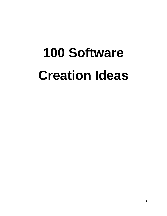## **100 Software Creation Ideas**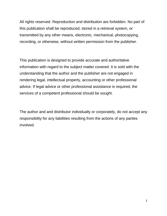All rights reserved. Reproduction and distribution are forbidden. No part of this publication shall be reproduced, stored in a retrieval system, or transmitted by any other means, electronic, mechanical, photocopying, recording, or otherwise, without written permission from the publisher.

This publication is designed to provide accurate and authoritative information with regard to the subject matter covered. It is sold with the understanding that the author and the publisher are not engaged in rendering legal, intellectual property, accounting or other professional advice. If legal advice or other professional assistance is required, the services of a competent professional should be sought.

The author and and distributor individually or corporately, do not accept any responsibility for any liabilities resulting from the actions of any parties involved.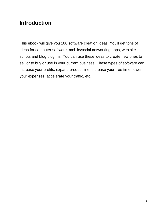## **Introduction**

This ebook will give you 100 software creation ideas. You'll get tons of ideas for computer software, mobile/social networking apps, web site scripts and blog plug ins. You can use these ideas to create new ones to sell or to buy or use in your current business. These types of software can increase your profits, expand product line, increase your free time, lower your expenses, accelerate your traffic, etc.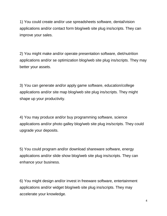1) You could create and/or use spreadsheets software, dental/vision applications and/or contact form blog/web site plug ins/scripts. They can improve your sales.

2) You might make and/or operate presentation software, diet/nutrition applications and/or se optimization blog/web site plug ins/scripts. They may better your assets.

3) You can generate and/or apply game software, education/college applications and/or site map blog/web site plug ins/scripts. They might shape up your productivity.

4) You may produce and/or buy programming software, science applications and/or photo galley blog/web site plug ins/scripts. They could upgrade your deposits.

5) You could program and/or download shareware software, energy applications and/or slide show blog/web site plug ins/scripts. They can enhance your business.

6) You might design and/or invest in freeware software, entertainment applications and/or widget blog/web site plug ins/scripts. They may accelerate your knowledge.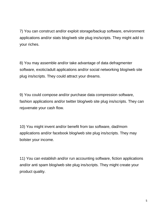7) You can construct and/or exploit storage/backup software, environment applications and/or stats blog/web site plug ins/scripts. They might add to your riches.

8) You may assemble and/or take advantage of data defragmenter software, exotic/adult applications and/or social networking blog/web site plug ins/scripts. They could attract your dreams.

9) You could compose and/or purchase data compression software, fashion applications and/or twitter blog/web site plug ins/scripts. They can rejuvenate your cash flow.

10) You might invent and/or benefit from tax software, dad/mom applications and/or facebook blog/web site plug ins/scripts. They may bolster your income.

11) You can establish and/or run accounting software, fiction applications and/or anti spam blog/web site plug ins/scripts. They might create your product quality.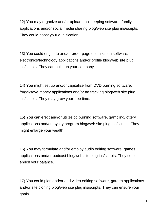12) You may organize and/or upload bookkeeping software, family applications and/or social media sharing blog/web site plug ins/scripts. They could boost your qualification.

13) You could originate and/or order page optimization software, electronics/technology applications and/or profile blog/web site plug ins/scripts. They can build up your company.

14) You might set up and/or capitalize from DVD burning software, frugal/save money applications and/or ad tracking blog/web site plug ins/scripts. They may grow your free time.

15) You can erect and/or utilize cd burning software, gambling/lottery applications and/or loyalty program blog/web site plug ins/scripts. They might enlarge your wealth.

16) You may formulate and/or employ audio editing software, games applications and/or podcast blog/web site plug ins/scripts. They could enrich your balance.

17) You could plan and/or add video editing software, garden applications and/or site cloning blog/web site plug ins/scripts. They can ensure your goals.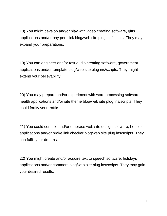18) You might develop and/or play with video creating software, gifts applications and/or pay per click blog/web site plug ins/scripts. They may expand your preparations.

19) You can engineer and/or test audio creating software, government applications and/or template blog/web site plug ins/scripts. They might extend your believability.

20) You may prepare and/or experiment with word processing software, health applications and/or site theme blog/web site plug ins/scripts. They could fortify your traffic.

21) You could compile and/or embrace web site design software, hobbies applications and/or broke link checker blog/web site plug ins/scripts. They can fulfill your dreams.

22) You might create and/or acquire text to speech software, holidays applications and/or comment blog/web site plug ins/scripts. They may gain your desired results.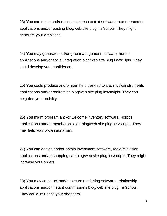23) You can make and/or access speech to text software, home remedies applications and/or posting blog/web site plug ins/scripts. They might generate your ambitions.

24) You may generate and/or grab management software, humor applications and/or social integration blog/web site plug ins/scripts. They could develop your confidence.

25) You could produce and/or gain help desk software, music/instruments applications and/or redirection blog/web site plug ins/scripts. They can heighten your mobility.

26) You might program and/or welcome inventory software, politics applications and/or membership site blog/web site plug ins/scripts. They may help your professionalism.

27) You can design and/or obtain investment software, radio/television applications and/or shopping cart blog/web site plug ins/scripts. They might increase your orders.

28) You may construct and/or secure marketing software, relationship applications and/or instant commissions blog/web site plug ins/scripts. They could influence your shoppers.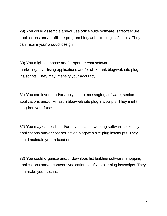29) You could assemble and/or use office suite software, safety/secure applications and/or affiliate program blog/web site plug ins/scripts. They can inspire your product design.

30) You might compose and/or operate chat software, marketing/advertising applications and/or click bank blog/web site plug ins/scripts. They may intensify your accuracy.

31) You can invent and/or apply instant messaging software, seniors applications and/or Amazon blog/web site plug ins/scripts. They might lengthen your funds.

32) You may establish and/or buy social networking software, sexuality applications and/or cost per action blog/web site plug ins/scripts. They could maintain your relaxation.

33) You could organize and/or download list building software, shopping applications and/or content syndication blog/web site plug ins/scripts. They can make your secure.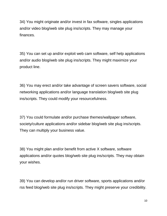34) You might originate and/or invest in fax software, singles applications and/or video blog/web site plug ins/scripts. They may manage your finances.

35) You can set up and/or exploit web cam software, self help applications and/or audio blog/web site plug ins/scripts. They might maximize your product line.

36) You may erect and/or take advantage of screen savers software, social networking applications and/or language translation blog/web site plug ins/scripts. They could modify your resourcefulness.

37) You could formulate and/or purchase themes/wallpaper software, society/culture applications and/or sidebar blog/web site plug ins/scripts. They can multiply your business value.

38) You might plan and/or benefit from active X software, software applications and/or quotes blog/web site plug ins/scripts. They may obtain your wishes.

39) You can develop and/or run driver software, sports applications and/or rss feed blog/web site plug ins/scripts. They might preserve your credibility.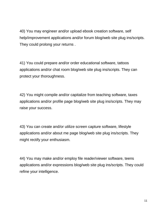40) You may engineer and/or upload ebook creation software, self help/improvement applications and/or forum blog/web site plug ins/scripts. They could prolong your returns .

41) You could prepare and/or order educational software, tattoos applications and/or chat room blog/web site plug ins/scripts. They can protect your thoroughness.

42) You might compile and/or capitalize from teaching software, taxes applications and/or profile page blog/web site plug ins/scripts. They may raise your success.

43) You can create and/or utilize screen capture software, lifestyle applications and/or about me page blog/web site plug ins/scripts. They might rectify your enthusiasm.

44) You may make and/or employ file reader/viewer software, teens applications and/or expressions blog/web site plug ins/scripts. They could refine your intelligence.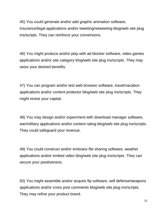45) You could generate and/or add graphic animation software, insurance/legal applications and/or tweeting/retweeting blog/web site plug ins/scripts. They can reinforce your conversions.

46) You might produce and/or play with ad blocker software, video games applications and/or site category blog/web site plug ins/scripts. They may seize your desired benefits.

47) You can program and/or test web browser software, travel/vacation applications and/or content protector blog/web site plug ins/scripts. They might revise your capital.

48) You may design and/or experiment with download manager software, war/military applications and/or content rating blog/web site plug ins/scripts. They could safeguard your revenue.

49) You could construct and/or embrace file sharing software, weather applications and/or embed video blog/web site plug ins/scripts. They can secure your positiveness.

50) You might assemble and/or acquire ftp software, self defense/weapons applications and/or cross post comments blog/web site plug ins/scripts. They may refine your product brand.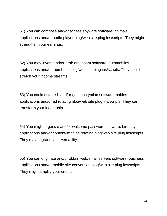51) You can compose and/or access spyware software, animals applications and/or audio player blog/web site plug ins/scripts. They might strengthen your earnings.

52) You may invent and/or grab anti-spam software, automobiles applications and/or thumbnail blog/web site plug ins/scripts. They could stretch your income streams.

53) You could establish and/or gain encryption software, babies applications and/or ad rotating blog/web site plug ins/scripts. They can transform your leadership.

54) You might organize and/or welcome password software, birthdays applications and/or content/imagine rotating blog/web site plug ins/scripts. They may upgrade your versatility.

55) You can originate and/or obtain web/email servers software, business applications and/or mobile site conversion blog/web site plug ins/scripts. They might amplify your credits.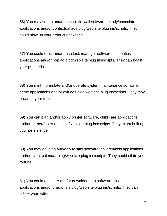56) You may set up and/or secure firewall software, candy/chocolate applications and/or contextual ads blog/web site plug ins/scripts. They could blow up your product packages.

57) You could erect and/or use task manager software, celebrities applications and/or pop ad blog/web site plug ins/scripts. They can boast your proceeds.

58) You might formulate and/or operate system maintenance software, crime applications and/or exit ads blog/web site plug ins/scripts. They may broaden your focus.

59) You can plan and/or apply printer software, child care applications and/or corner/footer ads blog/web site plug ins/scripts. They might bulk up your persistence.

60) You may develop and/or buy html software, children/kids applications and/or event calendar blog/web site plug ins/scripts. They could dilate your fortune.

61) You could engineer and/or download php software, cleaning applications and/or check lists blog/web site plug ins/scripts. They can inflate your skills.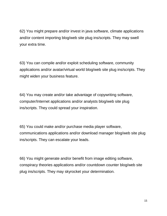62) You might prepare and/or invest in java software, climate applications and/or content importing blog/web site plug ins/scripts. They may swell your extra time.

63) You can compile and/or exploit scheduling software, community applications and/or avatar/virtual world blog/web site plug ins/scripts. They might widen your business feature.

64) You may create and/or take advantage of copywriting software, computer/Internet applications and/or analysts blog/web site plug ins/scripts. They could spread your inspiration.

65) You could make and/or purchase media player software, communications applications and/or download manager blog/web site plug ins/scripts. They can escalate your leads.

66) You might generate and/or benefit from image editing software, conspiracy theories applications and/or countdown counter blog/web site plug ins/scripts. They may skyrocket your determination.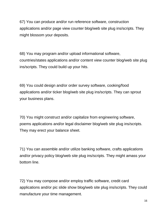67) You can produce and/or run reference software, construction applications and/or page view counter blog/web site plug ins/scripts. They might blossom your deposits.

68) You may program and/or upload informational software, countries/states applications and/or content view counter blog/web site plug ins/scripts. They could build up your hits.

69) You could design and/or order survey software, cooking/food applications and/or ticker blog/web site plug ins/scripts. They can sprout your business plans.

70) You might construct and/or capitalize from engineering software, poems applications and/or legal disclaimer blog/web site plug ins/scripts. They may erect your balance sheet.

71) You can assemble and/or utilize banking software, crafts applications and/or privacy policy blog/web site plug ins/scripts. They might amass your bottom line.

72) You may compose and/or employ traffic software, credit card applications and/or pic slide show blog/web site plug ins/scripts. They could manufacture your time management.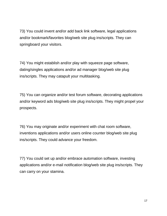73) You could invent and/or add back link software, legal applications and/or bookmark/favorites blog/web site plug ins/scripts. They can springboard your visitors.

74) You might establish and/or play with squeeze page software, dating/singles applications and/or ad manager blog/web site plug ins/scripts. They may catapult your multitasking.

75) You can organize and/or test forum software, decorating applications and/or keyword ads blog/web site plug ins/scripts. They might propel your prospects.

76) You may originate and/or experiment with chat room software, inventions applications and/or users online counter blog/web site plug ins/scripts. They could advance your freedom.

77) You could set up and/or embrace automation software, investing applications and/or e-mail notification blog/web site plug ins/scripts. They can carry on your stamina.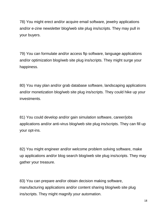78) You might erect and/or acquire email software, jewelry applications and/or e-zine newsletter blog/web site plug ins/scripts. They may pull in your buyers.

79) You can formulate and/or access ftp software, language applications and/or optimization blog/web site plug ins/scripts. They might surge your happiness.

80) You may plan and/or grab database software, landscaping applications and/or monetization blog/web site plug ins/scripts. They could hike up your investments.

81) You could develop and/or gain simulation software, career/jobs applications and/or anti-virus blog/web site plug ins/scripts. They can fill up your opt-ins.

82) You might engineer and/or welcome problem solving software, make up applications and/or blog search blog/web site plug ins/scripts. They may gather your treasure.

83) You can prepare and/or obtain decision making software, manufacturing applications and/or content sharing blog/web site plug ins/scripts. They might magnify your automation.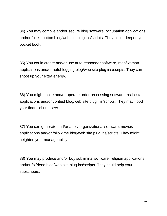84) You may compile and/or secure blog software, occupation applications and/or fb like button blog/web site plug ins/scripts. They could deepen your pocket book.

85) You could create and/or use auto responder software, men/woman applications and/or autoblogging blog/web site plug ins/scripts. They can shoot up your extra energy.

86) You might make and/or operate order processing software, real estate applications and/or contest blog/web site plug ins/scripts. They may flood your financial numbers.

87) You can generate and/or apply organizational software, movies applications and/or follow me blog/web site plug ins/scripts. They might heighten your manageability.

88) You may produce and/or buy subliminal software, religion applications and/or fb friend blog/web site plug ins/scripts. They could help your subscribers.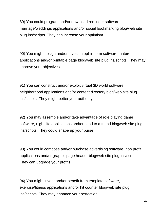89) You could program and/or download reminder software, marriage/weddings applications and/or social bookmarking blog/web site plug ins/scripts. They can increase your optimism.

90) You might design and/or invest in opt-in form software, nature applications and/or printable page blog/web site plug ins/scripts. They may improve your objectives.

91) You can construct and/or exploit virtual 3D world software, neighborhood applications and/or content directory blog/web site plug ins/scripts. They might better your authority.

92) You may assemble and/or take advantage of role playing game software, night life applications and/or send to a friend blog/web site plug ins/scripts. They could shape up your purse.

93) You could compose and/or purchase advertising software, non profit applications and/or graphic page header blog/web site plug ins/scripts. They can upgrade your profits.

94) You might invent and/or benefit from template software, exercise/fitness applications and/or hit counter blog/web site plug ins/scripts. They may enhance your perfection.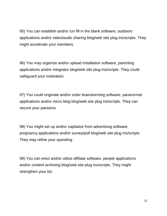95) You can establish and/or run fill in the blank software, outdoors applications and/or video/audio sharing blog/web site plug ins/scripts. They might accelerate your members.

96) You may organize and/or upload installation software, parenting applications and/or integrator blog/web site plug ins/scripts. They could safeguard your motivation.

97) You could originate and/or order brainstorming software, paranormal applications and/or micro blog blog/web site plug ins/scripts. They can secure your passions.

98) You might set up and/or capitalize from advertising software, pregnancy applications and/or survey/poll blog/web site plug ins/scripts. They may refine your spending.

99) You can erect and/or utilize affiliate software, people applications and/or content archiving blog/web site plug ins/scripts. They might strengthen your list.